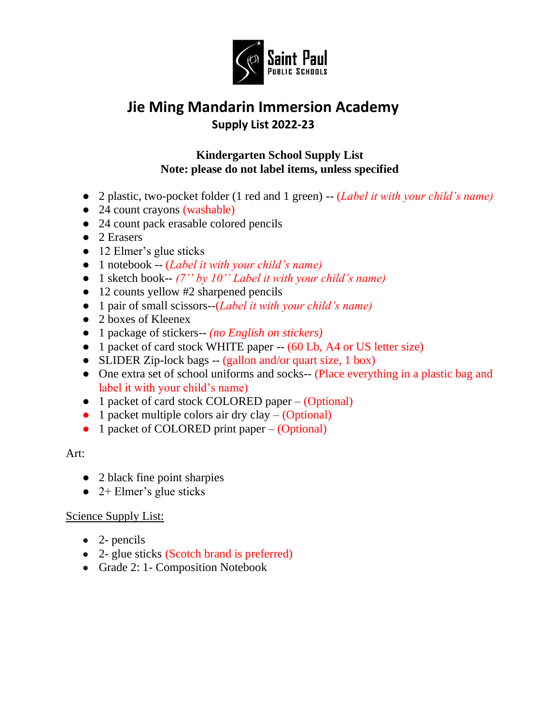

# **Jie Ming Mandarin Immersion Academy Supply List 2022-23**

### **Kindergarten School Supply List Note: please do not label items, unless specified**

- 2 plastic, two-pocket folder (1 red and 1 green) -- (*Label it with your child's name)*
- 24 count crayons (washable)
- 24 count pack erasable colored pencils
- 2 Erasers
- 12 Elmer's glue sticks
- 1 notebook -- (*Label it with your child's name)*
- 1 sketch book-- *(7'' by 10'' Label it with your child's name)*
- 12 counts yellow #2 sharpened pencils
- 1 pair of small scissors--(*Label it with your child's name)*
- 2 boxes of Kleenex
- 1 package of stickers-- *(no English on stickers)*
- 1 packet of card stock WHITE paper -- (60 Lb, A4 or US letter size)
- SLIDER Zip-lock bags -- (gallon and/or quart size, 1 box)
- One extra set of school uniforms and socks-- (Place everything in a plastic bag and label it with your child's name)
- 1 packet of card stock COLORED paper (Optional)
- $\bullet$  1 packet multiple colors air dry clay (Optional)
- 1 packet of COLORED print paper (Optional)

### Art:

- 2 black fine point sharpies
- $\bullet$  2+ Elmer's glue sticks

- $\bullet$  2- pencils
- 2- glue sticks (Scotch brand is preferred)
- Grade 2: 1 Composition Notebook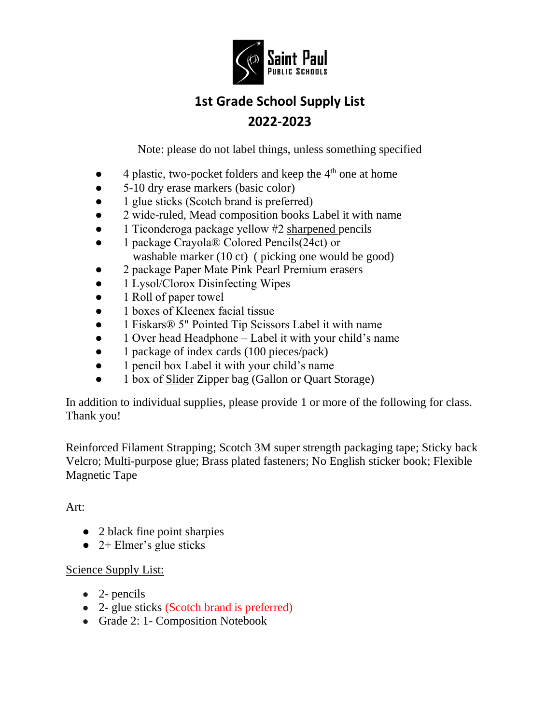

# **1st Grade School Supply List 2022-2023**

Note: please do not label things, unless something specified

- $\bullet$  4 plastic, two-pocket folders and keep the  $4<sup>th</sup>$  one at home
- 5-10 dry erase markers (basic color)
- 1 glue sticks (Scotch brand is preferred)
- 2 wide-ruled, Mead composition books Label it with name
- 1 Ticonderoga package yellow #2 sharpened pencils
- 1 package Crayola® Colored Pencils(24ct) or washable marker (10 ct) ( picking one would be good)
- 2 package Paper Mate Pink Pearl Premium erasers
- 1 Lysol/Clorox Disinfecting Wipes
- 1 Roll of paper towel
- 1 boxes of Kleenex facial tissue
- 1 Fiskars® 5" Pointed Tip Scissors Label it with name
- 1 Over head Headphone Label it with your child's name
- 1 package of index cards (100 pieces/pack)
- 1 pencil box Label it with your child's name
- 1 box of Slider Zipper bag (Gallon or Quart Storage)

In addition to individual supplies, please provide 1 or more of the following for class. Thank you!

Reinforced Filament Strapping; Scotch 3M super strength packaging tape; Sticky back Velcro; Multi-purpose glue; Brass plated fasteners; No English sticker book; Flexible Magnetic Tape

## Art:

- 2 black fine point sharpies
- $\bullet$  2+ Elmer's glue sticks

- $\bullet$  2- pencils
- 2- glue sticks (Scotch brand is preferred)
- Grade 2: 1 Composition Notebook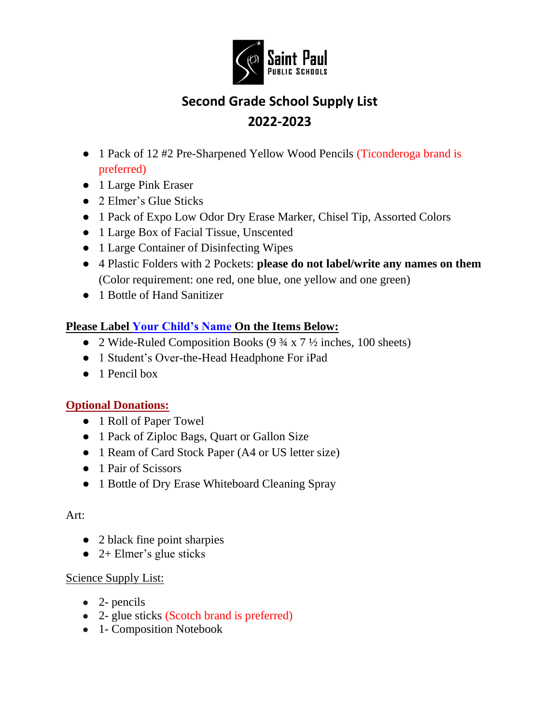

# **Second Grade School Supply List 2022-2023**

- 1 Pack of 12 #2 Pre-Sharpened Yellow Wood Pencils (Ticonderoga brand is preferred)
- 1 Large Pink Eraser
- 2 Elmer's Glue Sticks
- 1 Pack of Expo Low Odor Dry Erase Marker, Chisel Tip, Assorted Colors
- 1 Large Box of Facial Tissue, Unscented
- 1 Large Container of Disinfecting Wipes
- 4 Plastic Folders with 2 Pockets: **please do not label/write any names on them** (Color requirement: one red, one blue, one yellow and one green)
- 1 Bottle of Hand Sanitizer

## **Please Label Your Child's Name On the Items Below:**

- 2 Wide-Ruled Composition Books  $(9\frac{3}{4} \times 7\frac{1}{2})$  inches, 100 sheets)
- 1 Student's Over-the-Head Headphone For iPad
- $\bullet$  1 Pencil box

## **Optional Donations:**

- 1 Roll of Paper Towel
- 1 Pack of Ziploc Bags, Quart or Gallon Size
- 1 Ream of Card Stock Paper (A4 or US letter size)
- 1 Pair of Scissors
- 1 Bottle of Dry Erase Whiteboard Cleaning Spray

### Art:

- 2 black fine point sharpies
- $\bullet$  2+ Elmer's glue sticks

- $\bullet$  2- pencils
- 2- glue sticks (Scotch brand is preferred)
- 1- Composition Notebook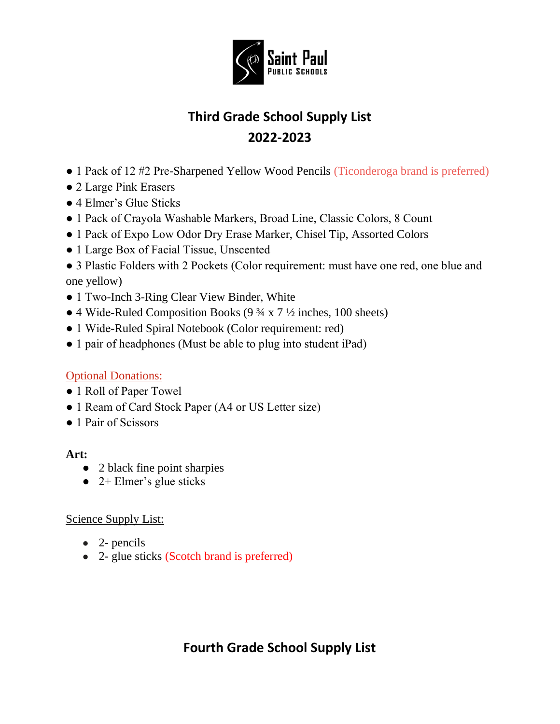

# **Third Grade School Supply List 2022-2023**

- 1 Pack of 12 #2 Pre-Sharpened Yellow Wood Pencils (Ticonderoga brand is preferred)
- 2 Large Pink Erasers
- 4 Elmer's Glue Sticks
- 1 Pack of Crayola Washable Markers, Broad Line, Classic Colors, 8 Count
- 1 Pack of Expo Low Odor Dry Erase Marker, Chisel Tip, Assorted Colors
- 1 Large Box of Facial Tissue, Unscented

• 3 Plastic Folders with 2 Pockets (Color requirement: must have one red, one blue and one yellow)

- 1 Two-Inch 3-Ring Clear View Binder, White
- 4 Wide-Ruled Composition Books (9 ¾ x 7 ½ inches, 100 sheets)
- 1 Wide-Ruled Spiral Notebook (Color requirement: red)
- 1 pair of headphones (Must be able to plug into student iPad)

## Optional Donations:

- 1 Roll of Paper Towel
- 1 Ream of Card Stock Paper (A4 or US Letter size)
- 1 Pair of Scissors

## **Art:**

- 2 black fine point sharpies
- $\bullet$  2+ Elmer's glue sticks

## Science Supply List:

- $\bullet$  2- pencils
- 2- glue sticks (Scotch brand is preferred)

## **Fourth Grade School Supply List**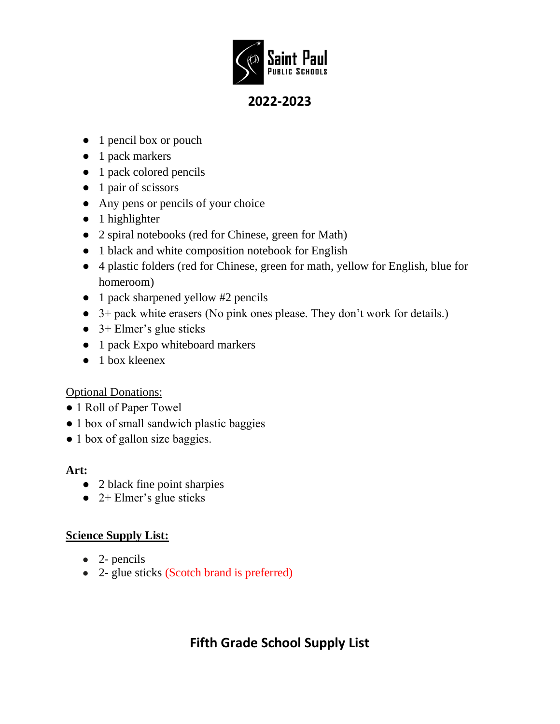

## **2022-2023**

- 1 pencil box or pouch
- 1 pack markers
- 1 pack colored pencils
- 1 pair of scissors
- Any pens or pencils of your choice
- 1 highlighter
- 2 spiral notebooks (red for Chinese, green for Math)
- 1 black and white composition notebook for English
- 4 plastic folders (red for Chinese, green for math, yellow for English, blue for homeroom)
- 1 pack sharpened yellow #2 pencils
- 3+ pack white erasers (No pink ones please. They don't work for details.)
- $\bullet$  3+ Elmer's glue sticks
- 1 pack Expo whiteboard markers
- $\bullet$  1 box kleenex

## Optional Donations:

- 1 Roll of Paper Towel
- 1 box of small sandwich plastic baggies
- 1 box of gallon size baggies.

### **Art:**

- 2 black fine point sharpies
- $\bullet$  2+ Elmer's glue sticks

## **Science Supply List:**

- $\bullet$  2- pencils
- 2- glue sticks (Scotch brand is preferred)

## **Fifth Grade School Supply List**